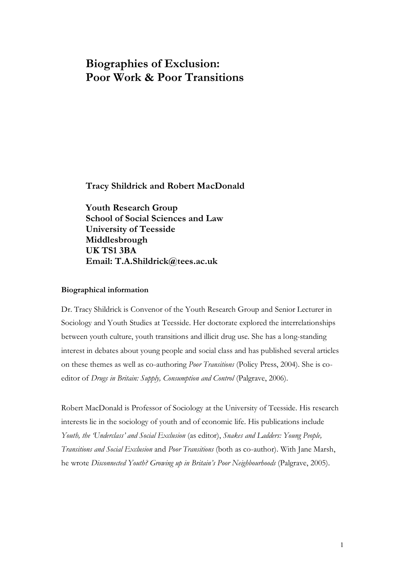# **Biographies of Exclusion: Poor Work & Poor Transitions**

**Tracy Shildrick and Robert MacDonald** 

**Youth Research Group School of Social Sciences and Law University of Teesside Middlesbrough UK TS1 3BA Email: T.A.Shildrick@tees.ac.uk** 

# **Biographical information**

Dr. Tracy Shildrick is Convenor of the Youth Research Group and Senior Lecturer in Sociology and Youth Studies at Teesside. Her doctorate explored the interrelationships between youth culture, youth transitions and illicit drug use. She has a long-standing interest in debates about young people and social class and has published several articles on these themes as well as co-authoring *Poor Transitions* (Policy Press, 2004). She is coeditor of *Drugs in Britain: Supply, Consumption and Control* (Palgrave, 2006).

Robert MacDonald is Professor of Sociology at the University of Teesside. His research interests lie in the sociology of youth and of economic life. His publications include *Youth, the 'Underclass' and Social Exclusion* (as editor), *Snakes and Ladders: Young People, Transitions and Social Exclusion* and *Poor Transitions* (both as co-author). With Jane Marsh, he wrote *Disconnected Youth? Growing up in Britain's Poor Neighbourhoods* (Palgrave, 2005).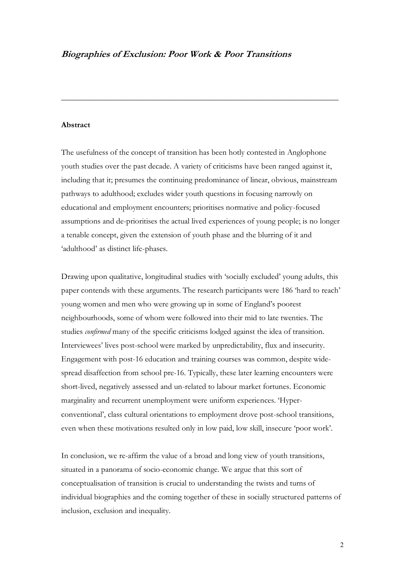# **Biographies of Exclusion: Poor Work & Poor Transitions**

# **Abstract**

The usefulness of the concept of transition has been hotly contested in Anglophone youth studies over the past decade. A variety of criticisms have been ranged against it, including that it; presumes the continuing predominance of linear, obvious, mainstream pathways to adulthood; excludes wider youth questions in focusing narrowly on educational and employment encounters; prioritises normative and policy-focused assumptions and de-prioritises the actual lived experiences of young people; is no longer a tenable concept, given the extension of youth phase and the blurring of it and 'adulthood' as distinct life-phases.

\_\_\_\_\_\_\_\_\_\_\_\_\_\_\_\_\_\_\_\_\_\_\_\_\_\_\_\_\_\_\_\_\_\_\_\_\_\_\_\_\_\_\_\_\_\_\_\_\_\_\_\_\_\_\_\_\_\_\_\_\_\_\_\_\_\_\_\_

Drawing upon qualitative, longitudinal studies with "socially excluded" young adults, this paper contends with these arguments. The research participants were 186 "hard to reach" young women and men who were growing up in some of England"s poorest neighbourhoods, some of whom were followed into their mid to late twenties. The studies *confirmed* many of the specific criticisms lodged against the idea of transition. Interviewees" lives post-school were marked by unpredictability, flux and insecurity. Engagement with post-16 education and training courses was common, despite widespread disaffection from school pre-16. Typically, these later learning encounters were short-lived, negatively assessed and un-related to labour market fortunes. Economic marginality and recurrent unemployment were uniform experiences. "Hyperconventional", class cultural orientations to employment drove post-school transitions, even when these motivations resulted only in low paid, low skill, insecure "poor work".

In conclusion, we re-affirm the value of a broad and long view of youth transitions, situated in a panorama of socio-economic change. We argue that this sort of conceptualisation of transition is crucial to understanding the twists and turns of individual biographies and the coming together of these in socially structured patterns of inclusion, exclusion and inequality.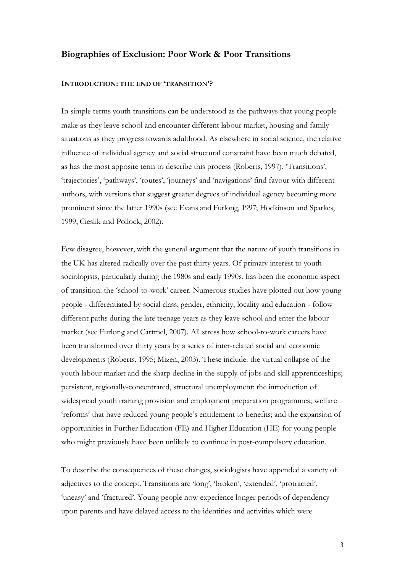# **Biographies of Exclusion: Poor Work & Poor Transitions**

#### **INTRODUCTION: THE END OF 'TRANSITION'?**

In simple terms youth transitions can be understood as the pathways that young people make as they leave school and encounter different labour market, housing and family situations as they progress towards adulthood. As elsewhere in social science, the relative influence of individual agency and social structural constraint have been much debated, as has the most apposite term to describe this process (Roberts, 1997). "Transitions", 'trajectories', 'pathways', 'routes', 'journeys' and 'navigations' find favour with different authors, with versions that suggest greater degrees of individual agency becoming more prominent since the latter 1990s (see Evans and Furlong, 1997; Hodkinson and Sparkes, 1999; Cieslik and Pollock, 2002).

Few disagree, however, with the general argument that the nature of youth transitions in the UK has altered radically over the past thirty years. Of primary interest to youth sociologists, particularly during the 1980s and early 1990s, has been the economic aspect of transition: the "school-to-work" career. Numerous studies have plotted out how young people - differentiated by social class, gender, ethnicity, locality and education - follow different paths during the late teenage years as they leave school and enter the labour market (see Furlong and Cartmel, 2007). All stress how school-to-work careers have been transformed over thirty years by a series of inter-related social and economic developments (Roberts, 1995; Mizen, 2003). These include: the virtual collapse of the youth labour market and the sharp decline in the supply of jobs and skill apprenticeships; persistent, regionally-concentrated, structural unemployment; the introduction of widespread youth training provision and employment preparation programmes; welfare "reforms" that have reduced young people"s entitlement to benefits; and the expansion of opportunities in Further Education (FE) and Higher Education (HE) for young people who might previously have been unlikely to continue in post-compulsory education.

To describe the consequences of these changes, sociologists have appended a variety of adjectives to the concept. Transitions are 'long', 'broken', 'extended', 'protracted', 'uneasy' and 'fractured'. Young people now experience longer periods of dependency upon parents and have delayed access to the identities and activities which were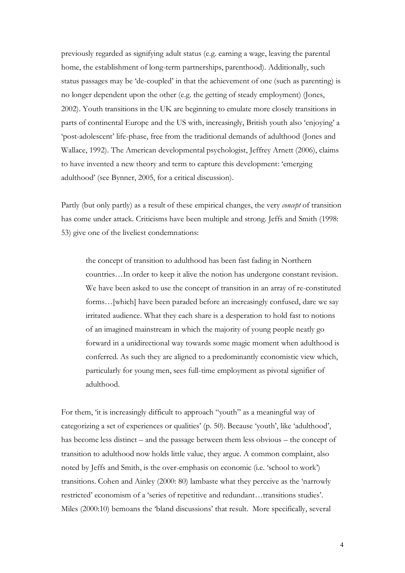previously regarded as signifying adult status (e.g. earning a wage, leaving the parental home, the establishment of long-term partnerships, parenthood). Additionally, such status passages may be "de-coupled" in that the achievement of one (such as parenting) is no longer dependent upon the other (e.g. the getting of steady employment) (Jones, 2002). Youth transitions in the UK are beginning to emulate more closely transitions in parts of continental Europe and the US with, increasingly, British youth also "enjoying" a 'post-adolescent' life-phase, free from the traditional demands of adulthood (Jones and Wallace, 1992). The American developmental psychologist, Jeffrey Arnett (2006), claims to have invented a new theory and term to capture this development: "emerging adulthood" (see Bynner, 2005, for a critical discussion).

Partly (but only partly) as a result of these empirical changes, the very *concept* of transition has come under attack. Criticisms have been multiple and strong. Jeffs and Smith (1998: 53) give one of the liveliest condemnations:

the concept of transition to adulthood has been fast fading in Northern countries…In order to keep it alive the notion has undergone constant revision. We have been asked to use the concept of transition in an array of re-constituted forms…[which] have been paraded before an increasingly confused, dare we say irritated audience. What they each share is a desperation to hold fast to notions of an imagined mainstream in which the majority of young people neatly go forward in a unidirectional way towards some magic moment when adulthood is conferred. As such they are aligned to a predominantly economistic view which, particularly for young men, sees full-time employment as pivotal signifier of adulthood.

For them, 'it is increasingly difficult to approach "youth" as a meaningful way of categorizing a set of experiences or qualities' (p. 50). Because 'youth', like 'adulthood', has become less distinct – and the passage between them less obvious – the concept of transition to adulthood now holds little value, they argue. A common complaint, also noted by Jeffs and Smith, is the over-emphasis on economic (i.e. "school to work") transitions. Cohen and Ainley (2000: 80) lambaste what they perceive as the "narrowly restricted' economism of a 'series of repetitive and redundant...transitions studies'. Miles (2000:10) bemoans the "bland discussions" that result. More specifically, several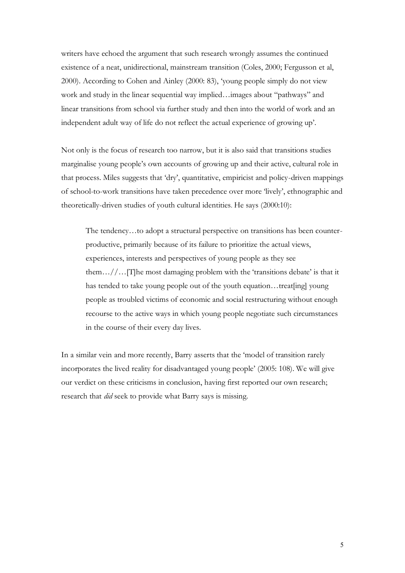writers have echoed the argument that such research wrongly assumes the continued existence of a neat, unidirectional, mainstream transition (Coles, 2000; Fergusson et al, 2000). According to Cohen and Ainley (2000: 83), "young people simply do not view work and study in the linear sequential way implied…images about "pathways" and linear transitions from school via further study and then into the world of work and an independent adult way of life do not reflect the actual experience of growing up'.

Not only is the focus of research too narrow, but it is also said that transitions studies marginalise young people"s own accounts of growing up and their active, cultural role in that process. Miles suggests that "dry", quantitative, empiricist and policy-driven mappings of school-to-work transitions have taken precedence over more "lively", ethnographic and theoretically-driven studies of youth cultural identities. He says (2000:10):

The tendency…to adopt a structural perspective on transitions has been counterproductive, primarily because of its failure to prioritize the actual views, experiences, interests and perspectives of young people as they see them…//…[T]he most damaging problem with the "transitions debate" is that it has tended to take young people out of the youth equation…treat[ing] young people as troubled victims of economic and social restructuring without enough recourse to the active ways in which young people negotiate such circumstances in the course of their every day lives.

In a similar vein and more recently, Barry asserts that the "model of transition rarely incorporates the lived reality for disadvantaged young people" (2005: 108). We will give our verdict on these criticisms in conclusion, having first reported our own research; research that *did* seek to provide what Barry says is missing.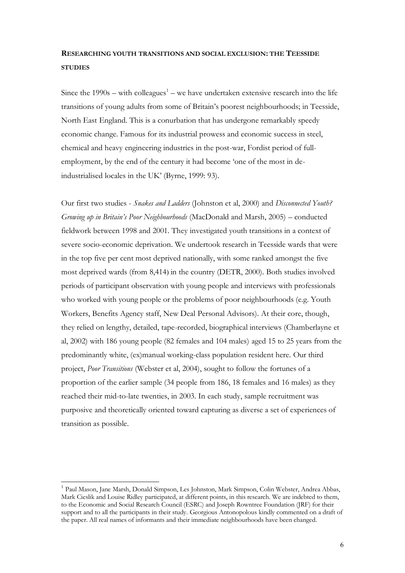# **RESEARCHING YOUTH TRANSITIONS AND SOCIAL EXCLUSION: THE TEESSIDE STUDIES**

Since the  $1990s$  – with colleagues<sup>1</sup> – we have undertaken extensive research into the life transitions of young adults from some of Britain"s poorest neighbourhoods; in Teesside, North East England. This is a conurbation that has undergone remarkably speedy economic change. Famous for its industrial prowess and economic success in steel, chemical and heavy engineering industries in the post-war, Fordist period of fullemployment, by the end of the century it had become 'one of the most in deindustrialised locales in the UK" (Byrne, 1999: 93).

Our first two studies - *Snakes and Ladders* (Johnston et al, 2000) and *Disconnected Youth? Growing up in Britain's Poor Neighbourhoods* (MacDonald and Marsh, 2005) – conducted fieldwork between 1998 and 2001. They investigated youth transitions in a context of severe socio-economic deprivation. We undertook research in Teesside wards that were in the top five per cent most deprived nationally, with some ranked amongst the five most deprived wards (from 8,414) in the country (DETR, 2000). Both studies involved periods of participant observation with young people and interviews with professionals who worked with young people or the problems of poor neighbourhoods (e.g. Youth Workers, Benefits Agency staff, New Deal Personal Advisors). At their core, though, they relied on lengthy, detailed, tape-recorded, biographical interviews (Chamberlayne et al, 2002) with 186 young people (82 females and 104 males) aged 15 to 25 years from the predominantly white, (ex)manual working-class population resident here. Our third project, *Poor Transitions* (Webster et al, 2004), sought to follow the fortunes of a proportion of the earlier sample (34 people from 186, 18 females and 16 males) as they reached their mid-to-late twenties, in 2003. In each study, sample recruitment was purposive and theoretically oriented toward capturing as diverse a set of experiences of transition as possible.

1

<sup>&</sup>lt;sup>1</sup> Paul Mason, Jane Marsh, Donald Simpson, Les Johnston, Mark Simpson, Colin Webster, Andrea Abbas, Mark Cieslik and Louise Ridley participated, at different points, in this research. We are indebted to them, to the Economic and Social Research Council (ESRC) and Joseph Rowntree Foundation (JRF) for their support and to all the participants in their study. Georgious Antonopolous kindly commented on a draft of the paper. All real names of informants and their immediate neighbourhoods have been changed.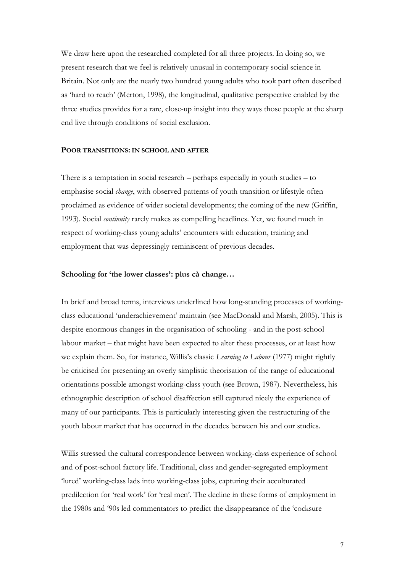We draw here upon the researched completed for all three projects. In doing so, we present research that we feel is relatively unusual in contemporary social science in Britain. Not only are the nearly two hundred young adults who took part often described as "hard to reach" (Merton, 1998), the longitudinal, qualitative perspective enabled by the three studies provides for a rare, close-up insight into they ways those people at the sharp end live through conditions of social exclusion.

#### **POOR TRANSITIONS: IN SCHOOL AND AFTER**

There is a temptation in social research – perhaps especially in youth studies – to emphasise social *change*, with observed patterns of youth transition or lifestyle often proclaimed as evidence of wider societal developments; the coming of the new (Griffin, 1993). Social *continuity* rarely makes as compelling headlines. Yet, we found much in respect of working-class young adults' encounters with education, training and employment that was depressingly reminiscent of previous decades.

#### **Schooling for 'the lower classes': plus cà change…**

In brief and broad terms, interviews underlined how long-standing processes of workingclass educational "underachievement" maintain (see MacDonald and Marsh, 2005). This is despite enormous changes in the organisation of schooling - and in the post-school labour market – that might have been expected to alter these processes, or at least how we explain them. So, for instance, Willis"s classic *Learning to Labour* (1977) might rightly be criticised for presenting an overly simplistic theorisation of the range of educational orientations possible amongst working-class youth (see Brown, 1987). Nevertheless, his ethnographic description of school disaffection still captured nicely the experience of many of our participants. This is particularly interesting given the restructuring of the youth labour market that has occurred in the decades between his and our studies.

Willis stressed the cultural correspondence between working-class experience of school and of post-school factory life. Traditional, class and gender-segregated employment 'lured' working-class lads into working-class jobs, capturing their acculturated predilection for "real work" for "real men". The decline in these forms of employment in the 1980s and "90s led commentators to predict the disappearance of the "cocksure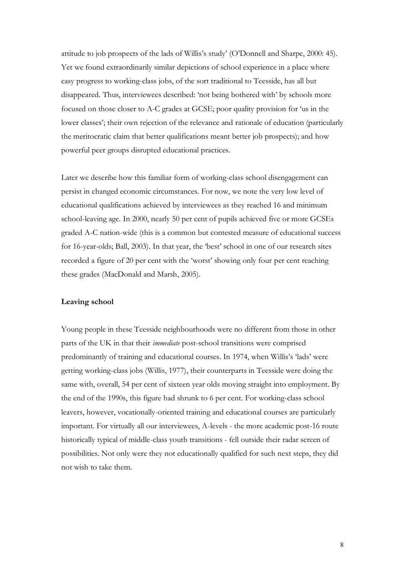attitude to job prospects of the lads of Willis"s study" (O"Donnell and Sharpe, 2000: 45). Yet we found extraordinarily similar depictions of school experience in a place where easy progress to working-class jobs, of the sort traditional to Teesside, has all but disappeared. Thus, interviewees described: "not being bothered with" by schools more focused on those closer to A-C grades at GCSE; poor quality provision for "us in the lower classes'; their own rejection of the relevance and rationale of education (particularly the meritocratic claim that better qualifications meant better job prospects); and how powerful peer groups disrupted educational practices.

Later we describe how this familiar form of working-class school disengagement can persist in changed economic circumstances. For now, we note the very low level of educational qualifications achieved by interviewees as they reached 16 and minimum school-leaving age. In 2000, nearly 50 per cent of pupils achieved five or more GCSEs graded A-C nation-wide (this is a common but contested measure of educational success for 16-year-olds; Ball, 2003). In that year, the 'best' school in one of our research sites recorded a figure of 20 per cent with the "worst" showing only four per cent reaching these grades (MacDonald and Marsh, 2005).

#### **Leaving school**

Young people in these Teesside neighbourhoods were no different from those in other parts of the UK in that their *immediate* post-school transitions were comprised predominantly of training and educational courses. In 1974, when Willis"s "lads" were getting working-class jobs (Willis, 1977), their counterparts in Teesside were doing the same with, overall, 54 per cent of sixteen year olds moving straight into employment. By the end of the 1990s, this figure had shrunk to 6 per cent. For working-class school leavers, however, vocationally-oriented training and educational courses are particularly important. For virtually all our interviewees, A-levels - the more academic post-16 route historically typical of middle-class youth transitions - fell outside their radar screen of possibilities. Not only were they not educationally qualified for such next steps, they did not wish to take them.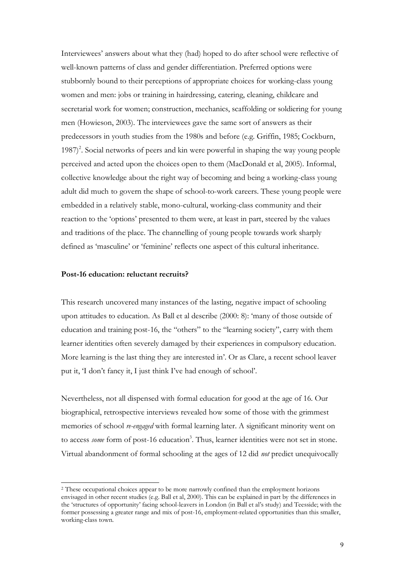Interviewees" answers about what they (had) hoped to do after school were reflective of well-known patterns of class and gender differentiation. Preferred options were stubbornly bound to their perceptions of appropriate choices for working-class young women and men: jobs or training in hairdressing, catering, cleaning, childcare and secretarial work for women; construction, mechanics, scaffolding or soldiering for young men (Howieson, 2003). The interviewees gave the same sort of answers as their predecessors in youth studies from the 1980s and before (e.g. Griffin, 1985; Cockburn,  $1987$ <sup>2</sup>. Social networks of peers and kin were powerful in shaping the way young people perceived and acted upon the choices open to them (MacDonald et al, 2005). Informal, collective knowledge about the right way of becoming and being a working-class young adult did much to govern the shape of school-to-work careers. These young people were embedded in a relatively stable, mono-cultural, working-class community and their reaction to the "options" presented to them were, at least in part, steered by the values and traditions of the place. The channelling of young people towards work sharply defined as "masculine" or "feminine" reflects one aspect of this cultural inheritance.

# **Post-16 education: reluctant recruits?**

-

This research uncovered many instances of the lasting, negative impact of schooling upon attitudes to education. As Ball et al describe (2000: 8): "many of those outside of education and training post-16, the "others" to the "learning society", carry with them learner identities often severely damaged by their experiences in compulsory education. More learning is the last thing they are interested in". Or as Clare, a recent school leaver put it, "I don"t fancy it, I just think I"ve had enough of school".

Nevertheless, not all dispensed with formal education for good at the age of 16. Our biographical, retrospective interviews revealed how some of those with the grimmest memories of school *re-engaged* with formal learning later. A significant minority went on to access *some* form of post-16 education<sup>3</sup>. Thus, learner identities were not set in stone. Virtual abandonment of formal schooling at the ages of 12 did *not* predict unequivocally

<sup>&</sup>lt;sup>2</sup> These occupational choices appear to be more narrowly confined than the employment horizons envisaged in other recent studies (e.g. Ball et al, 2000). This can be explained in part by the differences in the "structures of opportunity" facing school-leavers in London (in Ball et al"s study) and Teesside; with the former possessing a greater range and mix of post-16, employment-related opportunities than this smaller, working-class town.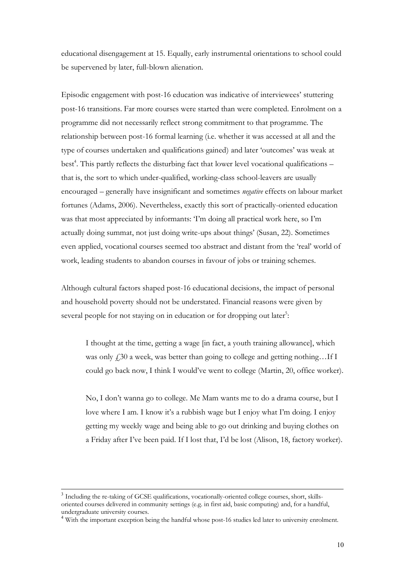educational disengagement at 15. Equally, early instrumental orientations to school could be supervened by later, full-blown alienation.

Episodic engagement with post-16 education was indicative of interviewees" stuttering post-16 transitions. Far more courses were started than were completed. Enrolment on a programme did not necessarily reflect strong commitment to that programme. The relationship between post-16 formal learning (i.e. whether it was accessed at all and the type of courses undertaken and qualifications gained) and later "outcomes" was weak at best<sup>4</sup>. This partly reflects the disturbing fact that lower level vocational qualifications that is, the sort to which under-qualified, working-class school-leavers are usually encouraged – generally have insignificant and sometimes *negative* effects on labour market fortunes (Adams, 2006). Nevertheless, exactly this sort of practically-oriented education was that most appreciated by informants: 'I'm doing all practical work here, so I'm actually doing summat, not just doing write-ups about things" (Susan, 22). Sometimes even applied, vocational courses seemed too abstract and distant from the "real" world of work, leading students to abandon courses in favour of jobs or training schemes.

Although cultural factors shaped post-16 educational decisions, the impact of personal and household poverty should not be understated. Financial reasons were given by several people for not staying on in education or for dropping out later<sup>5</sup>:

I thought at the time, getting a wage [in fact, a youth training allowance], which was only  $\angle$  30 a week, was better than going to college and getting nothing...If I could go back now, I think I would"ve went to college (Martin, 20, office worker).

No, I don"t wanna go to college. Me Mam wants me to do a drama course, but I love where I am. I know it's a rubbish wage but I enjoy what I'm doing. I enjoy getting my weekly wage and being able to go out drinking and buying clothes on a Friday after I"ve been paid. If I lost that, I"d be lost (Alison, 18, factory worker).

-

<sup>&</sup>lt;sup>3</sup> Including the re-taking of GCSE qualifications, vocationally-oriented college courses, short, skillsoriented courses delivered in community settings (e.g. in first aid, basic computing) and, for a handful, undergraduate university courses.

<sup>&</sup>lt;sup>4</sup> With the important exception being the handful whose post-16 studies led later to university enrolment.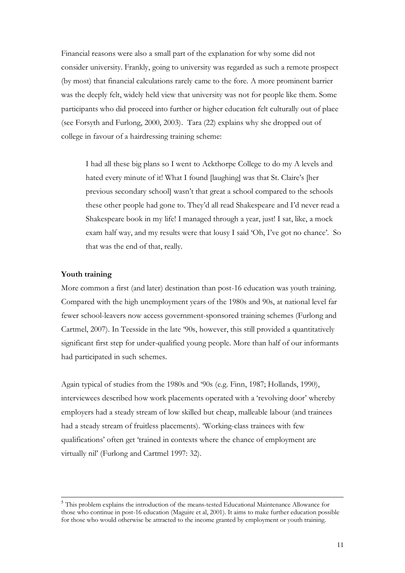Financial reasons were also a small part of the explanation for why some did not consider university. Frankly, going to university was regarded as such a remote prospect (by most) that financial calculations rarely came to the fore. A more prominent barrier was the deeply felt, widely held view that university was not for people like them. Some participants who did proceed into further or higher education felt culturally out of place (see Forsyth and Furlong, 2000, 2003). Tara (22) explains why she dropped out of college in favour of a hairdressing training scheme:

I had all these big plans so I went to Ackthorpe College to do my A levels and hated every minute of it! What I found [laughing] was that St. Claire"s [her previous secondary school] wasn"t that great a school compared to the schools these other people had gone to. They"d all read Shakespeare and I"d never read a Shakespeare book in my life! I managed through a year, just! I sat, like, a mock exam half way, and my results were that lousy I said 'Oh, I've got no chance'. So that was the end of that, really.

#### **Youth training**

-

More common a first (and later) destination than post-16 education was youth training. Compared with the high unemployment years of the 1980s and 90s, at national level far fewer school-leavers now access government-sponsored training schemes (Furlong and Cartmel, 2007). In Teesside in the late "90s, however, this still provided a quantitatively significant first step for under-qualified young people. More than half of our informants had participated in such schemes.

Again typical of studies from the 1980s and "90s (e.g. Finn, 1987; Hollands, 1990), interviewees described how work placements operated with a "revolving door" whereby employers had a steady stream of low skilled but cheap, malleable labour (and trainees had a steady stream of fruitless placements). "Working-class trainees with few qualifications" often get "trained in contexts where the chance of employment are virtually nil" (Furlong and Cartmel 1997: 32).

<sup>&</sup>lt;sup>5</sup> This problem explains the introduction of the means-tested Educational Maintenance Allowance for those who continue in post-16 education (Maguire et al, 2001). It aims to make further education possible for those who would otherwise be attracted to the income granted by employment or youth training.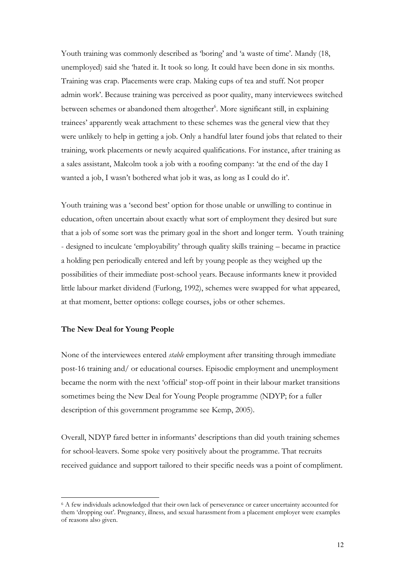Youth training was commonly described as 'boring' and 'a waste of time'. Mandy (18, unemployed) said she "hated it. It took so long. It could have been done in six months. Training was crap. Placements were crap. Making cups of tea and stuff. Not proper admin work". Because training was perceived as poor quality, many interviewees switched between schemes or abandoned them altogether<sup>6</sup>. More significant still, in explaining trainees" apparently weak attachment to these schemes was the general view that they were unlikely to help in getting a job. Only a handful later found jobs that related to their training, work placements or newly acquired qualifications. For instance, after training as a sales assistant, Malcolm took a job with a roofing company: "at the end of the day I wanted a job, I wasn't bothered what job it was, as long as I could do it'.

Youth training was a 'second best' option for those unable or unwilling to continue in education, often uncertain about exactly what sort of employment they desired but sure that a job of some sort was the primary goal in the short and longer term. Youth training - designed to inculcate "employability" through quality skills training – became in practice a holding pen periodically entered and left by young people as they weighed up the possibilities of their immediate post-school years. Because informants knew it provided little labour market dividend (Furlong, 1992), schemes were swapped for what appeared, at that moment, better options: college courses, jobs or other schemes.

# **The New Deal for Young People**

-

None of the interviewees entered *stable* employment after transiting through immediate post-16 training and/ or educational courses. Episodic employment and unemployment became the norm with the next "official" stop-off point in their labour market transitions sometimes being the New Deal for Young People programme (NDYP; for a fuller description of this government programme see Kemp, 2005).

Overall, NDYP fared better in informants" descriptions than did youth training schemes for school-leavers. Some spoke very positively about the programme. That recruits received guidance and support tailored to their specific needs was a point of compliment.

<sup>6</sup> A few individuals acknowledged that their own lack of perseverance or career uncertainty accounted for them 'dropping out'. Pregnancy, illness, and sexual harassment from a placement employer were examples of reasons also given.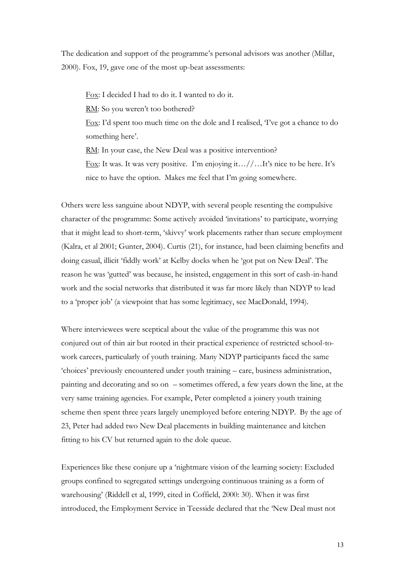The dedication and support of the programme's personal advisors was another (Millar, 2000). Fox, 19, gave one of the most up-beat assessments:

Fox: I decided I had to do it. I wanted to do it. RM: So you weren't too bothered? Fox: I'd spent too much time on the dole and I realised, 'I've got a chance to do something here'. RM: In your case, the New Deal was a positive intervention? Fox: It was. It was very positive. I'm enjoying it…//…It's nice to be here. It's nice to have the option. Makes me feel that I"m going somewhere.

Others were less sanguine about NDYP, with several people resenting the compulsive character of the programme: Some actively avoided "invitations" to participate, worrying that it might lead to short-term, "skivvy" work placements rather than secure employment (Kalra, et al 2001; Gunter, 2004). Curtis (21), for instance, had been claiming benefits and doing casual, illicit "fiddly work" at Kelby docks when he "got put on New Deal". The reason he was "gutted" was because, he insisted, engagement in this sort of cash-in-hand work and the social networks that distributed it was far more likely than NDYP to lead to a "proper job" (a viewpoint that has some legitimacy, see MacDonald, 1994).

Where interviewees were sceptical about the value of the programme this was not conjured out of thin air but rooted in their practical experience of restricted school-towork careers, particularly of youth training. Many NDYP participants faced the same "choices" previously encountered under youth training – care, business administration, painting and decorating and so on – sometimes offered, a few years down the line, at the very same training agencies. For example, Peter completed a joinery youth training scheme then spent three years largely unemployed before entering NDYP. By the age of 23, Peter had added two New Deal placements in building maintenance and kitchen fitting to his CV but returned again to the dole queue.

Experiences like these conjure up a "nightmare vision of the learning society: Excluded groups confined to segregated settings undergoing continuous training as a form of warehousing' (Riddell et al, 1999, cited in Coffield, 2000: 30). When it was first introduced, the Employment Service in Teesside declared that the "New Deal must not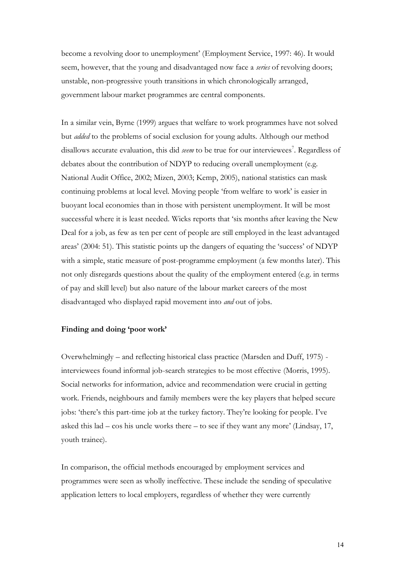become a revolving door to unemployment' (Employment Service, 1997: 46). It would seem, however, that the young and disadvantaged now face a *series* of revolving doors; unstable, non-progressive youth transitions in which chronologically arranged, government labour market programmes are central components.

In a similar vein, Byrne (1999) argues that welfare to work programmes have not solved but *added* to the problems of social exclusion for young adults. Although our method disallows accurate evaluation, this did *seem* to be true for our interviewees<sup>7</sup>. Regardless of debates about the contribution of NDYP to reducing overall unemployment (e.g. National Audit Office, 2002; Mizen, 2003; Kemp, 2005), national statistics can mask continuing problems at local level. Moving people "from welfare to work" is easier in buoyant local economies than in those with persistent unemployment. It will be most successful where it is least needed. Wicks reports that "six months after leaving the New Deal for a job, as few as ten per cent of people are still employed in the least advantaged areas' (2004: 51). This statistic points up the dangers of equating the 'success' of NDYP with a simple, static measure of post-programme employment (a few months later). This not only disregards questions about the quality of the employment entered (e.g. in terms of pay and skill level) but also nature of the labour market careers of the most disadvantaged who displayed rapid movement into *and* out of jobs.

# **Finding and doing 'poor work'**

Overwhelmingly – and reflecting historical class practice (Marsden and Duff, 1975) interviewees found informal job-search strategies to be most effective (Morris, 1995). Social networks for information, advice and recommendation were crucial in getting work. Friends, neighbours and family members were the key players that helped secure jobs: "there"s this part-time job at the turkey factory. They"re looking for people. I"ve asked this  $lad - cos$  his uncle works there  $- to$  see if they want any more' (Lindsay, 17, youth trainee).

In comparison, the official methods encouraged by employment services and programmes were seen as wholly ineffective. These include the sending of speculative application letters to local employers, regardless of whether they were currently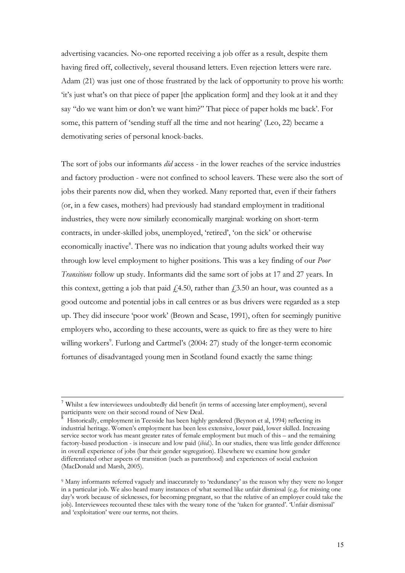advertising vacancies. No-one reported receiving a job offer as a result, despite them having fired off, collectively, several thousand letters. Even rejection letters were rare. Adam (21) was just one of those frustrated by the lack of opportunity to prove his worth: "it"s just what"s on that piece of paper [the application form] and they look at it and they say "do we want him or don't we want him?" That piece of paper holds me back'. For some, this pattern of 'sending stuff all the time and not hearing' (Leo, 22) became a demotivating series of personal knock-backs.

The sort of jobs our informants *did* access - in the lower reaches of the service industries and factory production - were not confined to school leavers. These were also the sort of jobs their parents now did, when they worked. Many reported that, even if their fathers (or, in a few cases, mothers) had previously had standard employment in traditional industries, they were now similarly economically marginal: working on short-term contracts, in under-skilled jobs, unemployed, "retired", "on the sick" or otherwise economically inactive<sup>8</sup>. There was no indication that young adults worked their way through low level employment to higher positions. This was a key finding of our *Poor Transitions* follow up study. Informants did the same sort of jobs at 17 and 27 years. In this context, getting a job that paid  $\hat{\mu}$  4.50, rather than  $\hat{\mu}$ 3.50 an hour, was counted as a good outcome and potential jobs in call centres or as bus drivers were regarded as a step up. They did insecure "poor work" (Brown and Scase, 1991), often for seemingly punitive employers who, according to these accounts, were as quick to fire as they were to hire willing workers<sup>9</sup>. Furlong and Cartmel's (2004: 27) study of the longer-term economic fortunes of disadvantaged young men in Scotland found exactly the same thing:

1

<sup>&</sup>lt;sup>7</sup> Whilst a few interviewees undoubtedly did benefit (in terms of accessing later employment), several participants were on their second round of New Deal.

<sup>8</sup> Historically, employment in Teesside has been highly gendered (Beynon et al, 1994) reflecting its industrial heritage. Women"s employment has been less extensive, lower paid, lower skilled. Increasing service sector work has meant greater rates of female employment but much of this – and the remaining factory-based production - is insecure and low paid (*ibid.*). In our studies, there was little gender difference in overall experience of jobs (bar their gender segregation). Elsewhere we examine how gender differentiated other aspects of transition (such as parenthood) and experiences of social exclusion (MacDonald and Marsh, 2005).

<sup>9</sup> Many informants referred vaguely and inaccurately to "redundancy" as the reason why they were no longer in a particular job. We also heard many instances of what seemed like unfair dismissal (e.g. for missing one day"s work because of sicknesses, for becoming pregnant, so that the relative of an employer could take the job). Interviewees recounted these tales with the weary tone of the "taken for granted". "Unfair dismissal" and "exploitation" were our terms, not theirs.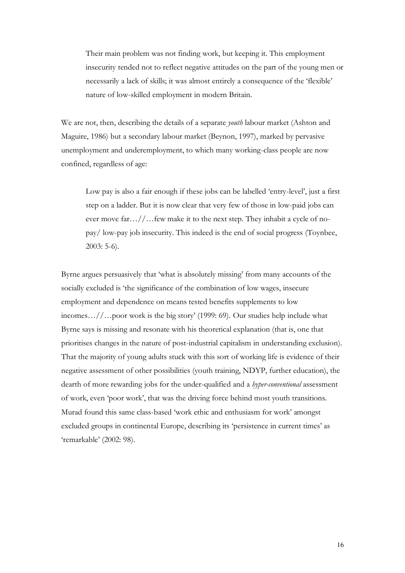Their main problem was not finding work, but keeping it. This employment insecurity tended not to reflect negative attitudes on the part of the young men or necessarily a lack of skills; it was almost entirely a consequence of the "flexible" nature of low-skilled employment in modern Britain.

We are not, then, describing the details of a separate *youth* labour market (Ashton and Maguire, 1986) but a secondary labour market (Beynon, 1997), marked by pervasive unemployment and underemployment, to which many working-class people are now confined, regardless of age:

Low pay is also a fair enough if these jobs can be labelled "entry-level", just a first step on a ladder. But it is now clear that very few of those in low-paid jobs can ever move far…//…few make it to the next step. They inhabit a cycle of nopay/ low-pay job insecurity. This indeed is the end of social progress (Toynbee, 2003: 5-6).

Byrne argues persuasively that "what is absolutely missing" from many accounts of the socially excluded is "the significance of the combination of low wages, insecure employment and dependence on means tested benefits supplements to low incomes…//…poor work is the big story" (1999: 69). Our studies help include what Byrne says is missing and resonate with his theoretical explanation (that is, one that prioritises changes in the nature of post-industrial capitalism in understanding exclusion). That the majority of young adults stuck with this sort of working life is evidence of their negative assessment of other possibilities (youth training, NDYP, further education), the dearth of more rewarding jobs for the under-qualified and a *hyper-conventional* assessment of work, even "poor work", that was the driving force behind most youth transitions. Murad found this same class-based "work ethic and enthusiasm for work" amongst excluded groups in continental Europe, describing its "persistence in current times" as "remarkable" (2002: 98).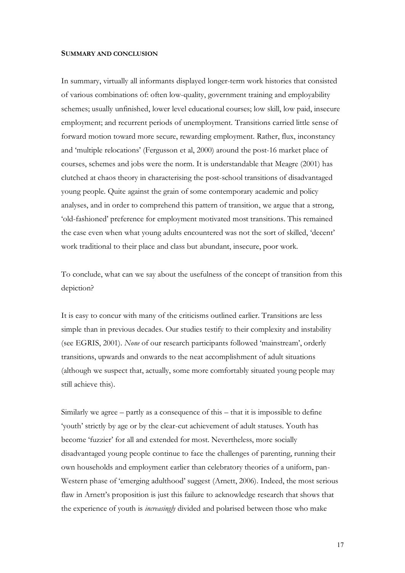#### **SUMMARY AND CONCLUSION**

In summary, virtually all informants displayed longer-term work histories that consisted of various combinations of: often low-quality, government training and employability schemes; usually unfinished, lower level educational courses; low skill, low paid, insecure employment; and recurrent periods of unemployment. Transitions carried little sense of forward motion toward more secure, rewarding employment. Rather, flux, inconstancy and "multiple relocations" (Fergusson et al, 2000) around the post-16 market place of courses, schemes and jobs were the norm. It is understandable that Meagre (2001) has clutched at chaos theory in characterising the post-school transitions of disadvantaged young people. Quite against the grain of some contemporary academic and policy analyses, and in order to comprehend this pattern of transition, we argue that a strong, "old-fashioned" preference for employment motivated most transitions. This remained the case even when what young adults encountered was not the sort of skilled, "decent" work traditional to their place and class but abundant, insecure, poor work.

To conclude, what can we say about the usefulness of the concept of transition from this depiction?

It is easy to concur with many of the criticisms outlined earlier. Transitions are less simple than in previous decades. Our studies testify to their complexity and instability (see EGRIS, 2001). *None* of our research participants followed "mainstream", orderly transitions, upwards and onwards to the neat accomplishment of adult situations (although we suspect that, actually, some more comfortably situated young people may still achieve this).

Similarly we agree – partly as a consequence of this – that it is impossible to define "youth" strictly by age or by the clear-cut achievement of adult statuses. Youth has become "fuzzier" for all and extended for most. Nevertheless, more socially disadvantaged young people continue to face the challenges of parenting, running their own households and employment earlier than celebratory theories of a uniform, pan-Western phase of "emerging adulthood" suggest (Arnett, 2006). Indeed, the most serious flaw in Arnett's proposition is just this failure to acknowledge research that shows that the experience of youth is *increasingly* divided and polarised between those who make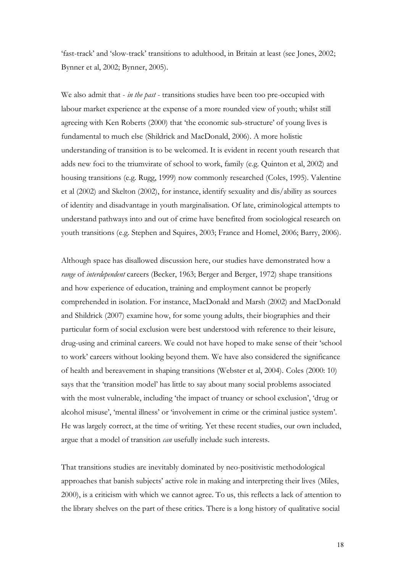"fast-track" and "slow-track" transitions to adulthood, in Britain at least (see Jones, 2002; Bynner et al, 2002; Bynner, 2005).

We also admit that - *in the past* - transitions studies have been too pre-occupied with labour market experience at the expense of a more rounded view of youth; whilst still agreeing with Ken Roberts (2000) that "the economic sub-structure" of young lives is fundamental to much else (Shildrick and MacDonald, 2006). A more holistic understanding of transition is to be welcomed. It is evident in recent youth research that adds new foci to the triumvirate of school to work, family (e.g. Quinton et al, 2002) and housing transitions (e.g. Rugg, 1999) now commonly researched (Coles, 1995). Valentine et al (2002) and Skelton (2002), for instance, identify sexuality and dis/ability as sources of identity and disadvantage in youth marginalisation. Of late, criminological attempts to understand pathways into and out of crime have benefited from sociological research on youth transitions (e.g. Stephen and Squires, 2003; France and Homel, 2006; Barry, 2006).

Although space has disallowed discussion here, our studies have demonstrated how a *range* of *interdependent* careers (Becker, 1963; Berger and Berger, 1972) shape transitions and how experience of education, training and employment cannot be properly comprehended in isolation. For instance, MacDonald and Marsh (2002) and MacDonald and Shildrick (2007) examine how, for some young adults, their biographies and their particular form of social exclusion were best understood with reference to their leisure, drug-using and criminal careers. We could not have hoped to make sense of their "school to work" careers without looking beyond them. We have also considered the significance of health and bereavement in shaping transitions (Webster et al, 2004). Coles (2000: 10) says that the "transition model" has little to say about many social problems associated with the most vulnerable, including 'the impact of truancy or school exclusion', 'drug or alcohol misuse', 'mental illness' or 'involvement in crime or the criminal justice system'. He was largely correct, at the time of writing. Yet these recent studies, our own included, argue that a model of transition *can* usefully include such interests.

That transitions studies are inevitably dominated by neo-positivistic methodological approaches that banish subjects" active role in making and interpreting their lives (Miles, 2000), is a criticism with which we cannot agree. To us, this reflects a lack of attention to the library shelves on the part of these critics. There is a long history of qualitative social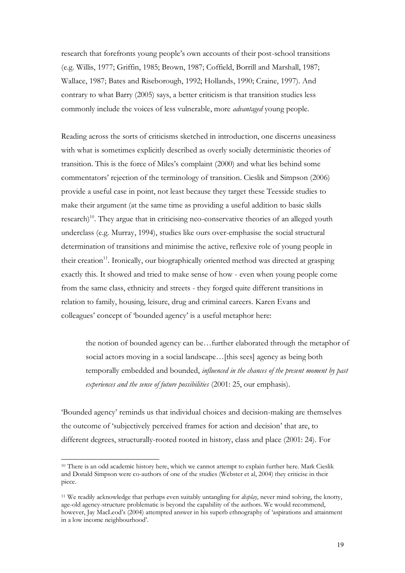research that forefronts young people"s own accounts of their post-school transitions (e.g. Willis, 1977; Griffin, 1985; Brown, 1987; Coffield, Borrill and Marshall, 1987; Wallace, 1987; Bates and Riseborough, 1992; Hollands, 1990; Craine, 1997). And contrary to what Barry (2005) says, a better criticism is that transition studies less commonly include the voices of less vulnerable, more *advantaged* young people.

Reading across the sorts of criticisms sketched in introduction, one discerns uneasiness with what is sometimes explicitly described as overly socially deterministic theories of transition. This is the force of Miles"s complaint (2000) and what lies behind some commentators" rejection of the terminology of transition. Cieslik and Simpson (2006) provide a useful case in point, not least because they target these Teesside studies to make their argument (at the same time as providing a useful addition to basic skills research)<sup>10</sup>. They argue that in criticising neo-conservative theories of an alleged youth underclass (e.g. Murray, 1994), studies like ours over-emphasise the social structural determination of transitions and minimise the active, reflexive role of young people in their creation<sup>11</sup>. Ironically, our biographically oriented method was directed at grasping exactly this. It showed and tried to make sense of how - even when young people come from the same class, ethnicity and streets - they forged quite different transitions in relation to family, housing, leisure, drug and criminal careers. Karen Evans and colleagues' concept of 'bounded agency' is a useful metaphor here:

the notion of bounded agency can be…further elaborated through the metaphor of social actors moving in a social landscape... [this sees] agency as being both temporally embedded and bounded, *influenced in the chances of the present moment by past experiences and the sense of future possibilities* (2001: 25, our emphasis).

"Bounded agency" reminds us that individual choices and decision-making are themselves the outcome of "subjectively perceived frames for action and decision" that are, to different degrees, structurally-rooted rooted in history, class and place (2001: 24). For

-

<sup>&</sup>lt;sup>10</sup> There is an odd academic history here, which we cannot attempt to explain further here. Mark Cieslik and Donald Simpson were co-authors of one of the studies (Webster et al, 2004) they criticise in their piece.

<sup>11</sup> We readily acknowledge that perhaps even suitably untangling for *display*, never mind solving, the knotty, age-old agency-structure problematic is beyond the capability of the authors. We would recommend, however, Jay MacLeod"s (2004) attempted answer in his superb ethnography of "aspirations and attainment in a low income neighbourhood".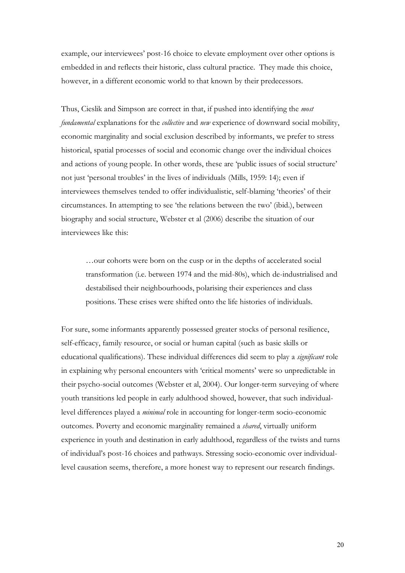example, our interviewees' post-16 choice to elevate employment over other options is embedded in and reflects their historic, class cultural practice. They made this choice, however, in a different economic world to that known by their predecessors.

Thus, Cieslik and Simpson are correct in that, if pushed into identifying the *most fundamental* explanations for the *collective* and *new* experience of downward social mobility, economic marginality and social exclusion described by informants, we prefer to stress historical, spatial processes of social and economic change over the individual choices and actions of young people. In other words, these are 'public issues of social structure' not just "personal troubles" in the lives of individuals (Mills, 1959: 14); even if interviewees themselves tended to offer individualistic, self-blaming "theories" of their circumstances. In attempting to see "the relations between the two" (ibid.), between biography and social structure, Webster et al (2006) describe the situation of our interviewees like this:

…our cohorts were born on the cusp or in the depths of accelerated social transformation (i.e. between 1974 and the mid-80s), which de-industrialised and destabilised their neighbourhoods, polarising their experiences and class positions. These crises were shifted onto the life histories of individuals.

For sure, some informants apparently possessed greater stocks of personal resilience, self-efficacy, family resource, or social or human capital (such as basic skills or educational qualifications). These individual differences did seem to play a *significant* role in explaining why personal encounters with "critical moments" were so unpredictable in their psycho-social outcomes (Webster et al, 2004). Our longer-term surveying of where youth transitions led people in early adulthood showed, however, that such individuallevel differences played a *minimal* role in accounting for longer-term socio-economic outcomes. Poverty and economic marginality remained a *shared*, virtually uniform experience in youth and destination in early adulthood, regardless of the twists and turns of individual"s post-16 choices and pathways. Stressing socio-economic over individuallevel causation seems, therefore, a more honest way to represent our research findings.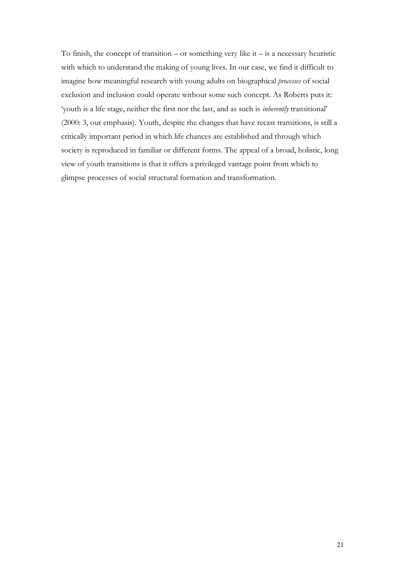To finish, the concept of transition – or something very like it – is a necessary heuristic with which to understand the making of young lives. In our case, we find it difficult to imagine how meaningful research with young adults on biographical *processes* of social exclusion and inclusion could operate without some such concept. As Roberts puts it: "youth is a life stage, neither the first nor the last, and as such is *inherently* transitional" (2000: 3, our emphasis). Youth, despite the changes that have recast transitions, is still a critically important period in which life chances are established and through which society is reproduced in familiar or different forms. The appeal of a broad, holistic, long view of youth transitions is that it offers a privileged vantage point from which to glimpse processes of social structural formation and transformation.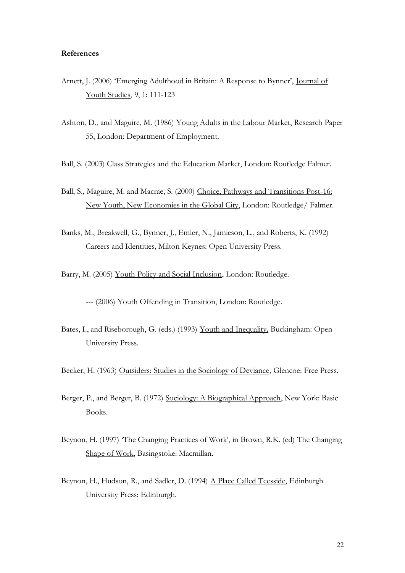#### **References**

- Arnett, J. (2006) 'Emerging Adulthood in Britain: A Response to Bynner', Journal of Youth Studies, 9, 1: 111-123
- Ashton, D., and Maguire, M. (1986) Young Adults in the Labour Market, Research Paper 55, London: Department of Employment.
- Ball, S. (2003) Class Strategies and the Education Market, London: Routledge Falmer.
- Ball, S., Maguire, M. and Macrae, S. (2000) Choice, Pathways and Transitions Post-16: New Youth, New Economies in the Global City, London: Routledge/ Falmer.
- Banks, M., Breakwell, G., Bynner, J., Emler, N., Jamieson, L., and Roberts, K. (1992) Careers and Identities, Milton Keynes: Open University Press.
- Barry, M. (2005) Youth Policy and Social Inclusion, London: Routledge.
	- --- (2006) Youth Offending in Transition, London: Routledge.
- Bates, I., and Riseborough, G. (eds.) (1993) Youth and Inequality*,* Buckingham: Open University Press.
- Becker, H. (1963) Outsiders: Studies in the Sociology of Deviance, Glencoe: Free Press.
- Berger, P., and Berger, B. (1972) Sociology: A Biographical Approach, New York: Basic Books.
- Beynon, H. (1997) 'The Changing Practices of Work', in Brown, R.K. (ed) The Changing Shape of Work, Basingstoke: Macmillan.
- Beynon, H., Hudson, R., and Sadler, D. (1994) A Place Called Teesside, Edinburgh University Press: Edinburgh.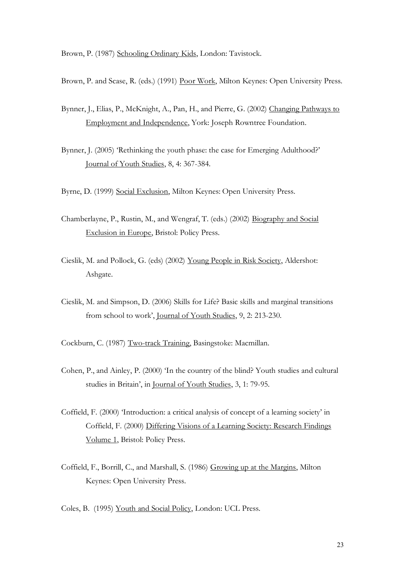Brown, P. (1987) Schooling Ordinary Kids, London: Tavistock.

- Brown, P. and Scase, R. (eds.) (1991) Poor Work, Milton Keynes: Open University Press.
- Bynner, J., Elias, P., McKnight, A., Pan, H., and Pierre, G. (2002) Changing Pathways to Employment and Independence, York: Joseph Rowntree Foundation.
- Bynner, J. (2005) 'Rethinking the youth phase: the case for Emerging Adulthood?' Journal of Youth Studies, 8, 4: 367-384.
- Byrne, D. (1999) Social Exclusion, Milton Keynes: Open University Press.
- Chamberlayne, P., Rustin, M., and Wengraf, T. (eds.) (2002) Biography and Social Exclusion in Europe, Bristol: Policy Press.
- Cieslik, M. and Pollock, G. (eds) (2002) Young People in Risk Society, Aldershot: Ashgate.
- Cieslik, M. and Simpson, D. (2006) Skills for Life? Basic skills and marginal transitions from school to work', <u>Journal of Youth Studies</u>, 9, 2: 213-230.
- Cockburn, C. (1987) Two-track Training, Basingstoke: Macmillan.
- Cohen, P., and Ainley, P. (2000) "In the country of the blind? Youth studies and cultural studies in Britain', in Journal of Youth Studies, 3, 1: 79-95.
- Coffield, F. (2000) "Introduction: a critical analysis of concept of a learning society" in Coffield, F. (2000) Differing Visions of a Learning Society: Research Findings Volume 1, Bristol: Policy Press.
- Coffield, F., Borrill, C., and Marshall, S. (1986) Growing up at the Margins, Milton Keynes: Open University Press.

Coles, B. (1995) Youth and Social Policy, London: UCL Press.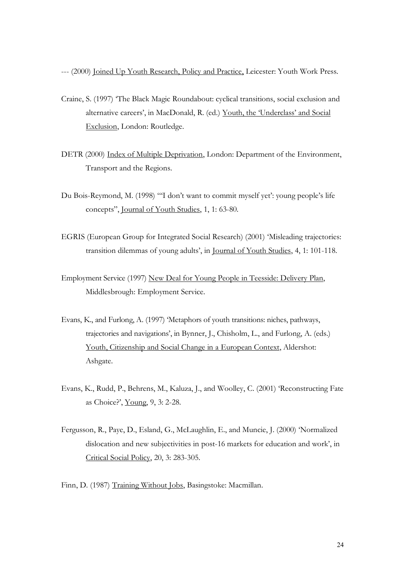--- (2000) Joined Up Youth Research, Policy and Practice, Leicester: Youth Work Press.

- Craine, S. (1997) "The Black Magic Roundabout: cyclical transitions, social exclusion and alternative careers', in MacDonald, R. (ed.) Youth, the 'Underclass' and Social Exclusion, London: Routledge.
- DETR (2000) Index of Multiple Deprivation, London: Department of the Environment, Transport and the Regions.
- Du Bois-Reymond, M. (1998) "'I don't want to commit myself yet': young people's life concepts", Journal of Youth Studies, 1, 1: 63-80.
- EGRIS (European Group for Integrated Social Research) (2001) "Misleading trajectories: transition dilemmas of young adults', in Journal of Youth Studies, 4, 1: 101-118.
- Employment Service (1997) New Deal for Young People in Teesside: Delivery Plan, Middlesbrough: Employment Service.
- Evans, K., and Furlong, A. (1997) "Metaphors of youth transitions: niches, pathways, trajectories and navigations", in Bynner, J., Chisholm, L., and Furlong, A. (eds.) Youth, Citizenship and Social Change in a European Context, Aldershot: Ashgate.
- Evans, K., Rudd, P., Behrens, M., Kaluza, J., and Woolley, C. (2001) "Reconstructing Fate as Choice?", Young, 9, 3: 2-28.
- Fergusson, R., Paye, D., Esland, G., McLaughlin, E., and Muncie, J. (2000) "Normalized dislocation and new subjectivities in post-16 markets for education and work", in Critical Social Policy, 20, 3: 283-305.
- Finn, D. (1987) Training Without Jobs, Basingstoke: Macmillan.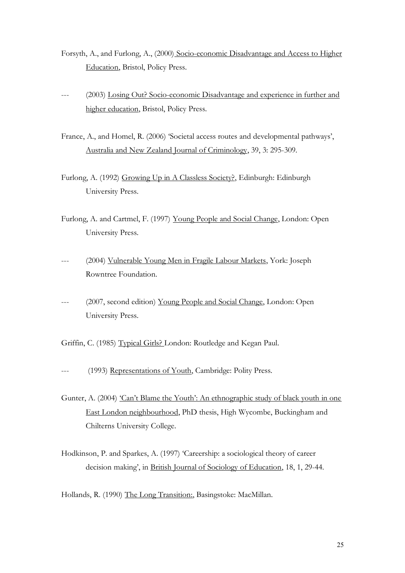- Forsyth, A., and Furlong, A., (2000) Socio-economic Disadvantage and Access to Higher Education, Bristol, Policy Press.
- --- (2003) Losing Out? Socio-economic Disadvantage and experience in further and higher education, Bristol, Policy Press.
- France, A., and Homel, R. (2006) 'Societal access routes and developmental pathways', Australia and New Zealand Journal of Criminology, 39, 3: 295-309.
- Furlong, A. (1992) Growing Up in A Classless Society?, Edinburgh: Edinburgh University Press.
- Furlong, A. and Cartmel, F. (1997) Young People and Social Change, London: Open University Press.
- --- (2004) Vulnerable Young Men in Fragile Labour Markets, York: Joseph Rowntree Foundation.
- --- (2007, second edition) Young People and Social Change, London: Open University Press.
- Griffin, C. (1985) Typical Girls? London: Routledge and Kegan Paul.
- --- (1993) Representations of Youth, Cambridge: Polity Press.
- Gunter, A. (2004) "Can"t Blame the Youth": An ethnographic study of black youth in one East London neighbourhood, PhD thesis, High Wycombe, Buckingham and Chilterns University College.
- Hodkinson, P. and Sparkes, A. (1997) "Careership: a sociological theory of career decision making', in British Journal of Sociology of Education, 18, 1, 29-44.

Hollands, R. (1990) The Long Transition:, Basingstoke: MacMillan.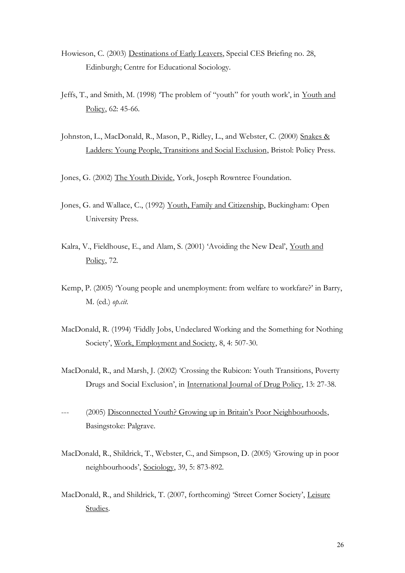- Howieson, C. (2003) Destinations of Early Leavers, Special CES Briefing no. 28, Edinburgh; Centre for Educational Sociology.
- Jeffs, T., and Smith, M. (1998) "The problem of "youth" for youth work", in Youth and Policy, 62: 45-66.
- Johnston, L., MacDonald, R., Mason, P., Ridley, L., and Webster, C. (2000) Snakes & Ladders: Young People, Transitions and Social Exclusion, Bristol: Policy Press.

Jones, G. (2002) The Youth Divide, York, Joseph Rowntree Foundation.

- Jones, G. and Wallace, C., (1992) Youth, Family and Citizenship, Buckingham: Open University Press.
- Kalra, V., Fieldhouse, E., and Alam, S. (2001) "Avoiding the New Deal", Youth and Policy, 72.
- Kemp, P. (2005) 'Young people and unemployment: from welfare to workfare?' in Barry, M. (ed.) *op.cit.*
- MacDonald, R. (1994) "Fiddly Jobs, Undeclared Working and the Something for Nothing Society', Work, Employment and Society, 8, 4: 507-30.
- MacDonald, R., and Marsh, J. (2002) "Crossing the Rubicon: Youth Transitions, Poverty Drugs and Social Exclusion", in International Journal of Drug Policy, 13: 27-38.
- --- (2005) Disconnected Youth? Growing up in Britain's Poor Neighbourhoods, Basingstoke: Palgrave.
- MacDonald, R., Shildrick, T., Webster, C., and Simpson, D. (2005) "Growing up in poor neighbourhoods", Sociology, 39, 5: 873-892.
- MacDonald, R., and Shildrick, T. (2007, forthcoming) 'Street Corner Society', Leisure Studies.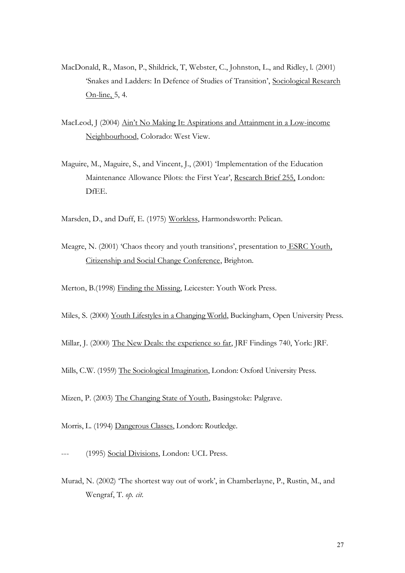- MacDonald, R., Mason, P., Shildrick, T, Webster, C., Johnston, L., and Ridley, l. (2001) 'Snakes and Ladders: In Defence of Studies of Transition', Sociological Research On-line, 5, 4.
- MacLeod, J (2004) Ain't No Making It: Aspirations and Attainment in a Low-income Neighbourhood, Colorado: West View.
- Maguire, M., Maguire, S., and Vincent, J., (2001) "Implementation of the Education Maintenance Allowance Pilots: the First Year', Research Brief 255, London: DfEE.

Marsden, D., and Duff, E. (1975) Workless, Harmondsworth: Pelican.

Meagre, N. (2001) "Chaos theory and youth transitions", presentation to ESRC Youth, Citizenship and Social Change Conference, Brighton.

Merton, B.(1998) Finding the Missing, Leicester: Youth Work Press.

Miles, S. (2000) Youth Lifestyles in a Changing World, Buckingham, Open University Press.

Millar, J. (2000) The New Deals: the experience so far, JRF Findings 740, York: JRF.

Mills, C.W. (1959) The Sociological Imagination, London: Oxford University Press.

Mizen, P. (2003) The Changing State of Youth, Basingstoke: Palgrave.

Morris, L. (1994) Dangerous Classes, London: Routledge.

- --- (1995) Social Divisions, London: UCL Press.
- Murad, N. (2002) "The shortest way out of work", in Chamberlayne, P., Rustin, M., and Wengraf, T. *op. cit.*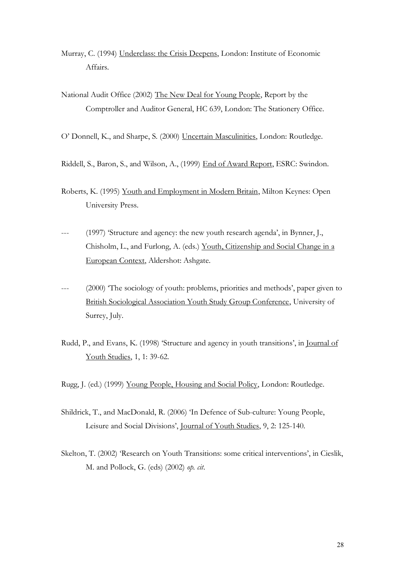- Murray, C. (1994) Underclass: the Crisis Deepens, London: Institute of Economic Affairs.
- National Audit Office (2002) The New Deal for Young People, Report by the Comptroller and Auditor General, HC 639, London: The Stationery Office.

O" Donnell, K., and Sharpe, S. (2000) Uncertain Masculinities, London: Routledge.

- Riddell, S., Baron, S., and Wilson, A., (1999) End of Award Report, ESRC: Swindon.
- Roberts, K. (1995) Youth and Employment in Modern Britain, Milton Keynes: Open University Press.
- --- (1997) "Structure and agency: the new youth research agenda", in Bynner, J., Chisholm, L., and Furlong, A. (eds.) Youth, Citizenship and Social Change in a European Context, Aldershot: Ashgate.
- --- (2000) "The sociology of youth: problems, priorities and methods", paper given to British Sociological Association Youth Study Group Conference, University of Surrey, July.
- Rudd, P., and Evans, K. (1998) 'Structure and agency in youth transitions', in Journal of Youth Studies, 1, 1: 39-62.

Rugg, J. (ed.) (1999) Young People, Housing and Social Policy, London: Routledge.

- Shildrick, T., and MacDonald, R. (2006) "In Defence of Sub-culture: Young People, Leisure and Social Divisions', Journal of Youth Studies, 9, 2: 125-140.
- Skelton, T. (2002) 'Research on Youth Transitions: some critical interventions', in Cieslik, M. and Pollock, G. (eds) (2002) *op. cit*.